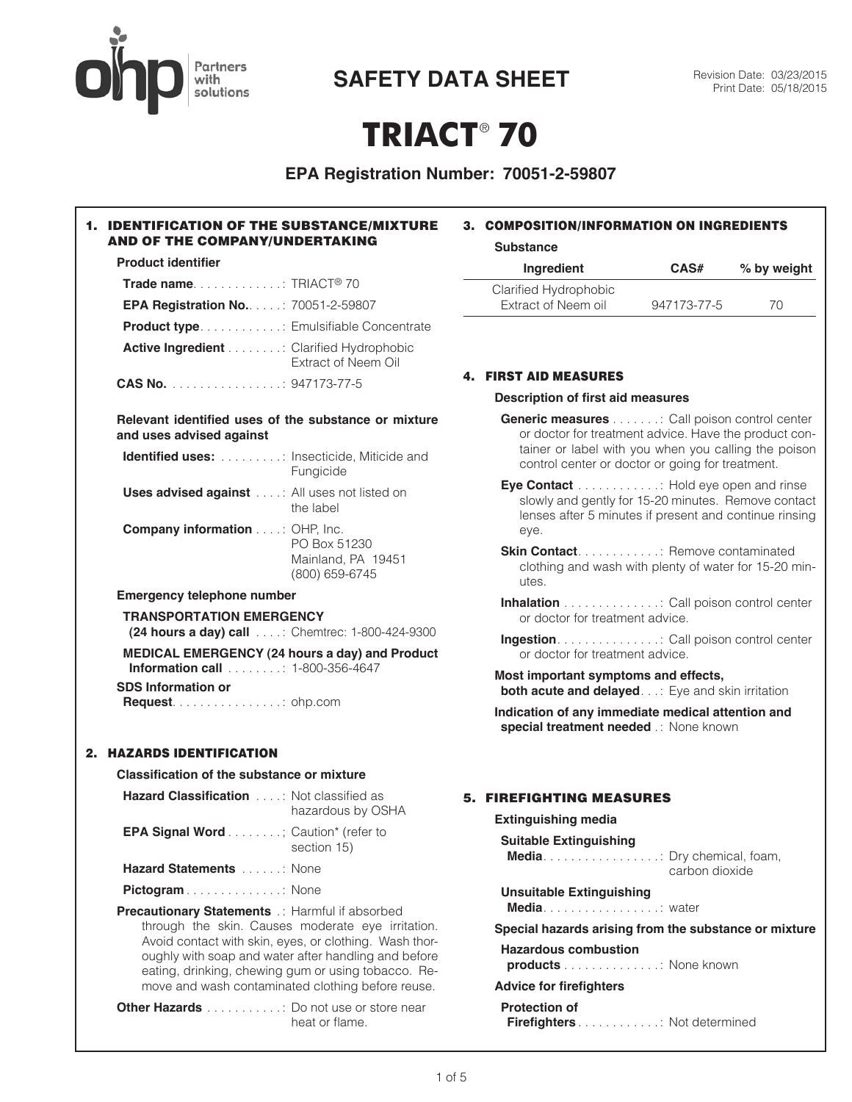# **Partners** with solutions

**SAFETY DATA SHEET** Revision Date: 03/23/2015

# **TRIACT**® **70**

# **EPA Registration Number: 70051-2-59807**

#### 1. IDENTIFICATION OF THE SUBSTANCE/MIXTURE AND OF THE COMPANY/UNDERTAKING **Product identifier Trade name** . . . . . . . . . . . . : TRIACT® 70 **EPA Registration No.** . . . . : 70051-2-59807 **Product type** . . . . . . . . . . . : Emulsifiable Concentrate **Active Ingredient** . . . . . . . : Clarified Hydrophobic Extract of Neem Oil **CAS No.** . . . . . . . . . . . . . . . : 947173-77-5 **Relevant identified uses of the substance or mixture and uses advised against Identified uses:** . . . . . . . . : Insecticide, Miticide and **Fungicide Uses advised against** . . . : All uses not listed on the label **Company information** . . . : OHP, Inc. PO Box 51230 Mainland, PA 19451 (800) 659-6745 **Emergency telephone number TRANSPORTATION EMERGENCY (24 hours a day) call** . . . : Chemtrec: 1-800-424-9300 **MEDICAL EMERGENCY (24 hours a day) and Product Information call** . . . . . . . : 1-800-356-4647 **SDS Information or Request** . . . . . . . . . . . . . . . : ohp.com 2. HAZARDS IDENTIFICATION **Classification of the substance or mixture Hazard Classification** . . . : Not classified as hazardous by OSHA **EPA Signal Word** . . . . . . . ; Caution\* (refer to section 15) **Hazard Statements** . . . . . : None Pictogram . . . . . . . . . . . . . . None **Precautionary Statements** : Harmful if absorbed through the skin. Causes moderate eye irritation. Avoid contact with skin, eyes, or clothing. Wash thoroughly with soap and water after handling and before eating, drinking, chewing gum or using tobacco. Remove and wash contaminated clothing before reuse. 3. COMPOSITION/INFORMATION ON INGREDIENTS **Substance Ingredient CAS# % by weight** Clarified Hydrophobic Extract of Neem oil 947173-77-5 70 4. FIRST AID MEASURES **Description of first aid measures Generic measures** . . . . . . : Call poison control center or doctor for treatment advice. Have the product container or label with you when you calling the poison control center or doctor or going for treatment. **Eye Contact** . . . . . . . . . . . . . Hold eye open and rinse slowly and gently for 15-20 minutes. Remove contact lenses after 5 minutes if present and continue rinsing eye. **Skin Contact** . . . . . . . . . . . . . Remove contaminated clothing and wash with plenty of water for 15-20 minutes. **Inhalation** . . . . . . . . . . . . . : Call poison control center or doctor for treatment advice. **Ingestion** . . . . . . . . . . . . . . : Call poison control center or doctor for treatment advice. **Most important symptoms and effects, both acute and delayed.** . . : Eye and skin irritation **Indication of any immediate medical attention and** special treatment needed .: None known 5. FIREFIGHTING MEASURES **Extinguishing media Suitable Extinguishing Media** . . . . . . . . . . . . . . . . : Dry chemical, foam, carbon dioxide **Unsuitable Extinguishing Media** . . . . . . . . . . . . . . . . . water **Special hazards arising from the substance or mixture Hazardous combustion products** . . . . . . . . . . . . . : None known **Advice for firefighters**

**Other Hazards** . . . . . . . . . . . : Do not use or store near heat or flame.

**Protection of**

**Firefighters** . . . . . . . . . . . : Not determined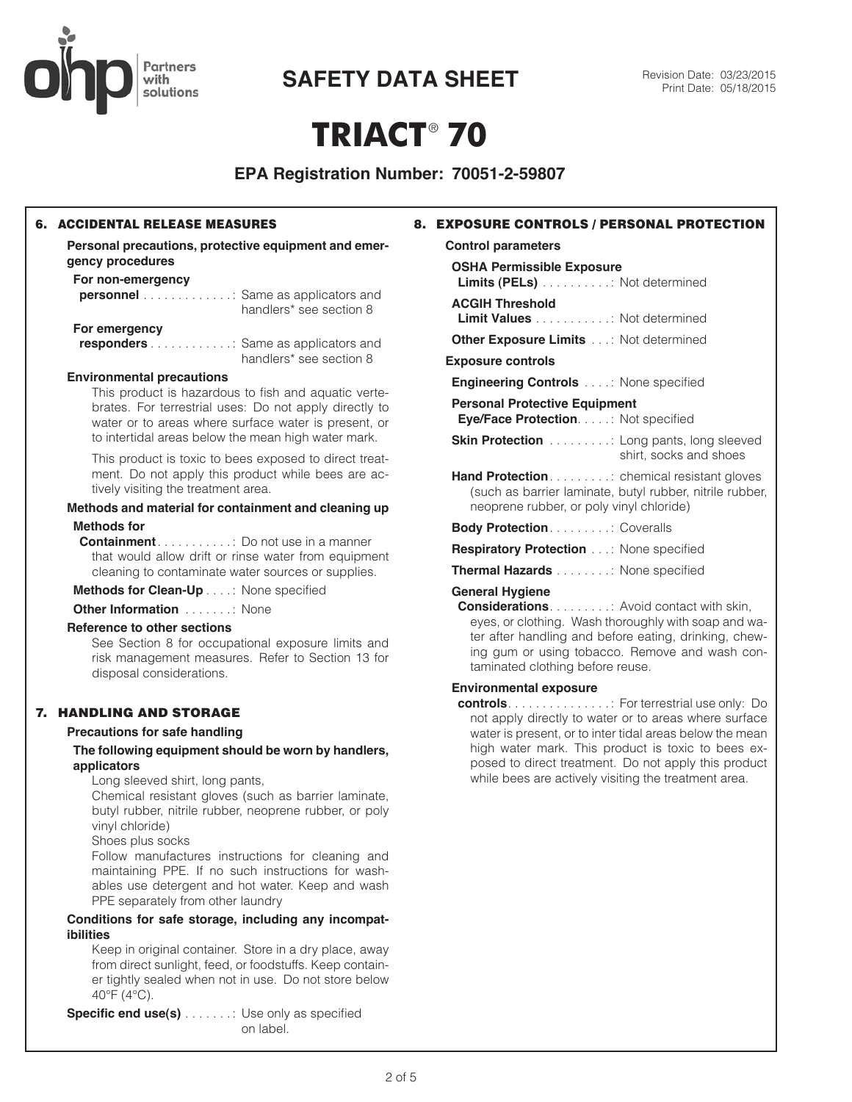

# **SAFETY DATA SHEET** Revision Date: 03/23/2015

# **TRIACT**® **70**

**EPA Registration Number: 70051-2-59807**

# 6. ACCIDENTAL RELEASE MEASURES

**Personal precautions, protective equipment and emergency procedures**

# **For non-emergency**

| <b>personnel</b> Same as applicators and  | handlers* see section 8 |
|-------------------------------------------|-------------------------|
| For emergency                             |                         |
| <b>responders</b> Same as applicators and |                         |
|                                           | handlers* see section 8 |

#### **Environmental precautions**

This product is hazardous to fish and aquatic vertebrates. For terrestrial uses: Do not apply directly to water or to areas where surface water is present, or to intertidal areas below the mean high water mark.

This product is toxic to bees exposed to direct treatment. Do not apply this product while bees are actively visiting the treatment area.

#### **Methods and material for containment and cleaning up Methods for**

**Containment** . . . . . . . . . . : Do not use in a manner that would allow drift or rinse water from equipment cleaning to contaminate water sources or supplies.

**Methods for Clean-Up** . . . : None specified

**Other Information** . . . . . . . None

#### **Reference to other sections**

See Section 8 for occupational exposure limits and risk management measures. Refer to Section 13 for disposal considerations.

# 7. HANDLING AND STORAGE

#### **Precautions for safe handling**

**The following equipment should be worn by handlers, applicators**

Long sleeved shirt, long pants,

Chemical resistant gloves (such as barrier laminate, butyl rubber, nitrile rubber, neoprene rubber, or poly vinyl chloride)

Shoes plus socks

Follow manufactures instructions for cleaning and maintaining PPE. If no such instructions for washables use detergent and hot water. Keep and wash PPE separately from other laundry

#### **Conditions for safe storage, including any incompatibilities**

Keep in original container. Store in a dry place, away from direct sunlight, feed, or foodstuffs. Keep container tightly sealed when not in use. Do not store below 40°F (4°C).

**Specific end use(s)** . . . . . . . : Use only as specified on label.

**Control parameters**

#### **OSHA Permissible Exposure**

**Limits (PELs)** . . . . . . . . . : Not determined

### **ACGIH Threshold**

**Limit Values** . . . . . . . . . . : Not determined

**Other Exposure Limits** . . : Not determined

### **Exposure controls**

**Engineering Controls** . . . : None specified

**Personal Protective Equipment**

**Eye/Face Protection** . . . . : Not specified

- **Skin Protection** . . . . . . . . . : Long pants, long sleeved shirt, socks and shoes
- **Hand Protection** . . . . . . . . . . chemical resistant gloves (such as barrier laminate, butyl rubber, nitrile rubber, neoprene rubber, or poly vinyl chloride)

**Body Protection** . . . . . . . . : Coveralls

- **Respiratory Protection ...: None specified**
- **Thermal Hazards** . . . . . . . : None specified

### **General Hygiene**

**Considerations** . . . . . . . . : Avoid contact with skin, eyes, or clothing. Wash thoroughly with soap and water after handling and before eating, drinking, chewing gum or using tobacco. Remove and wash contaminated clothing before reuse.

## **Environmental exposure**

**controls** . . . . . . . . . . . . . . : For terrestrial use only: Do not apply directly to water or to areas where surface water is present, or to inter tidal areas below the mean high water mark. This product is toxic to bees exposed to direct treatment. Do not apply this product while bees are actively visiting the treatment area.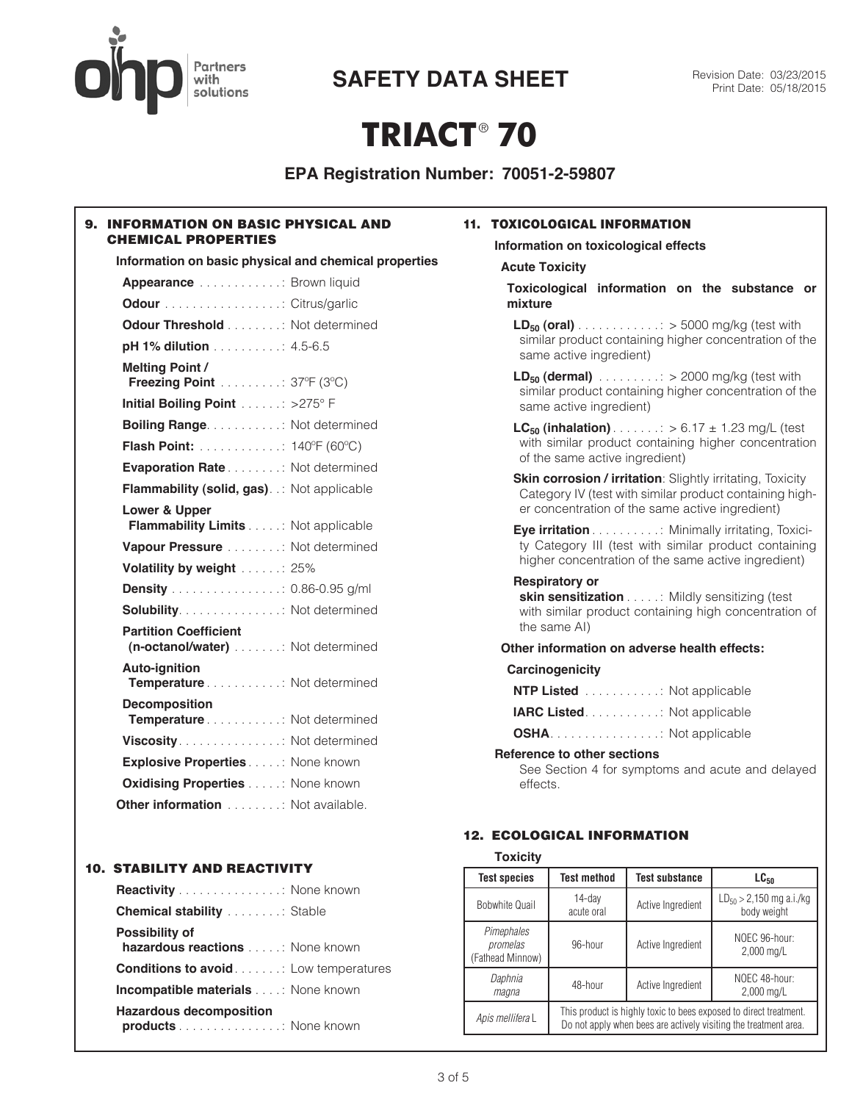# **Partners** with solutions

**SAFETY DATA SHEET** Revision Date: 03/23/2015

# **TRIACT**® **70**

**EPA Registration Number: 70051-2-59807**

# 9. INFORMATION ON BASIC PHYSICAL AND CHEMICAL PROPERTIES

| Information on basic physical and chemical properties            |  |
|------------------------------------------------------------------|--|
| Appearance Brown liquid                                          |  |
| <b>Odour</b> Citrus/garlic                                       |  |
| <b>Odour Threshold</b> Not determined                            |  |
| pH 1% dilution 4.5-6.5                                           |  |
| <b>Melting Point/</b><br>Freezing Point  37°F (3°C)              |  |
| Initial Boiling Point  >275° F                                   |  |
| <b>Boiling Range</b> : Not determined                            |  |
| <b>Flash Point:</b> 140°F (60°C)                                 |  |
| <b>Evaporation Rate</b> Not determined                           |  |
| <b>Flammability (solid, gas).</b> Not applicable                 |  |
| Lower & Upper<br><b>Flammability Limits Not applicable</b>       |  |
| Vapour Pressure Not determined                                   |  |
| Volatility by weight  25%                                        |  |
| <b>Density</b> 0.86-0.95 g/ml                                    |  |
| <b>Solubility</b> Not determined                                 |  |
| <b>Partition Coefficient</b><br>(n-octanol/water) Not determined |  |
| <b>Auto-ignition</b><br>Temperature Not determined               |  |
| <b>Decomposition</b><br>Temperature Not determined               |  |
|                                                                  |  |
| <b>Explosive Properties</b> None known                           |  |
| <b>Oxidising Properties</b> None known                           |  |
| Other information Not available.                                 |  |

# 10. STABILITY AND REACTIVITY

| <b>Reactivity</b> None known                                 |
|--------------------------------------------------------------|
| <b>Chemical stability</b> Stable                             |
| <b>Possibility of</b><br>hazardous reactions None known      |
| <b>Conditions to avoid</b> Low temperatures                  |
| <b>Incompatible materials</b> None known                     |
| <b>Hazardous decomposition</b><br><b>products</b> None known |

# 11. TOXICOLOGICAL INFORMATION

**Information on toxicological effects Acute Toxicity**

**Toxicological information on the substance or mixture**

**LD<sub>50</sub> (oral)** . . . . . . . . . . . . : > 5000 mg/kg (test with similar product containing higher concentration of the same active ingredient)

**LD<sub>50</sub> (dermal)**  $\ldots \ldots \ldots$   $>$  2000 mg/kg (test with similar product containing higher concentration of the same active ingredient)

**LC<sub>50</sub> (inhalation)**  $\ldots \ldots \ldots > 6.17 \pm 1.23$  mg/L (test with similar product containing higher concentration of the same active ingredient)

**Skin corrosion / irritation**: Slightly irritating, Toxicity Category IV (test with similar product containing higher concentration of the same active ingredient)

**Eye irritation** . . . . . . . . . : Minimally irritating, Toxicity Category III (test with similar product containing higher concentration of the same active ingredient)

#### **Respiratory or**

**skin sensitization** . . . . : Mildly sensitizing (test with similar product containing high concentration of the same AI)

# **Other information on adverse health effects:**

### **Carcinogenicity**

| <b>NTP Listed</b> : Not applicable |  |
|------------------------------------|--|
| <b>IARC Listed: Not applicable</b> |  |
| <b>OSHA</b> Not applicable         |  |

#### **Reference to other sections**

See Section 4 for symptoms and acute and delayed effects.

# 12. ECOLOGICAL INFORMATION

| <b>Toxicity</b>                            |                                                                                                                                       |                       |                                             |  |  |  |  |
|--------------------------------------------|---------------------------------------------------------------------------------------------------------------------------------------|-----------------------|---------------------------------------------|--|--|--|--|
| <b>Test species</b>                        | <b>Test method</b>                                                                                                                    | <b>Test substance</b> | $LG_{50}$                                   |  |  |  |  |
| <b>Bobwhite Quail</b>                      | 14-day<br>acute oral                                                                                                                  | Active Ingredient     | $LD_{50} > 2,150$ mg a.i./kg<br>body weight |  |  |  |  |
| Pimephales<br>promelas<br>(Fathead Minnow) | 96-hour                                                                                                                               | Active Ingredient     | NOEC 96-hour:<br>2,000 mg/L                 |  |  |  |  |
| Daphnia<br>magna                           | 48-hour                                                                                                                               | Active Ingredient     | NOEC 48-hour:<br>2,000 mg/L                 |  |  |  |  |
| Apis mellifera L                           | This product is highly toxic to bees exposed to direct treatment.<br>Do not apply when bees are actively visiting the treatment area. |                       |                                             |  |  |  |  |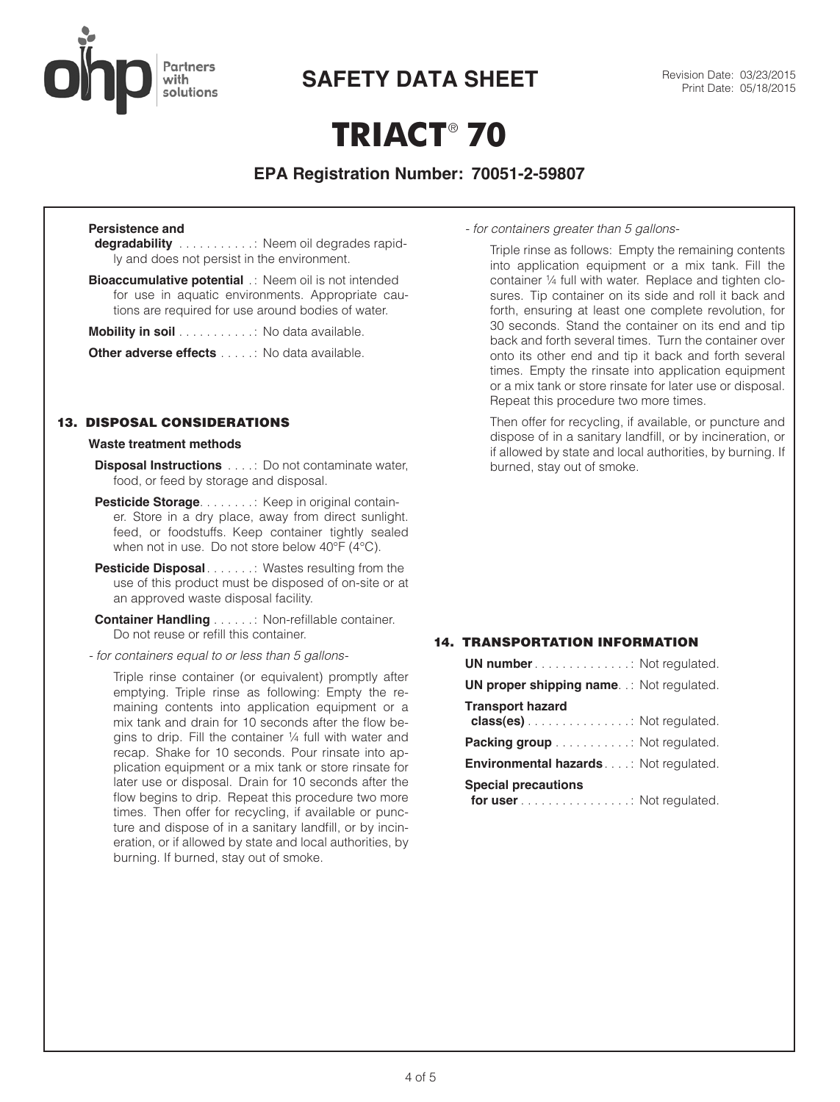

**SAFETY DATA SHEET** Revision Date: 03/23/2015

# **TRIACT**® **70**

# **EPA Registration Number: 70051-2-59807**

# **Persistence and**

**degradability** . . . . . . . . . . : Neem oil degrades rapidly and does not persist in the environment.

**Bioaccumulative potential** .: Neem oil is not intended for use in aquatic environments. Appropriate cautions are required for use around bodies of water.

|  |  |  | <b>Mobility in soil</b> No data available. |
|--|--|--|--------------------------------------------|
|--|--|--|--------------------------------------------|

**Other adverse effects** . . . . : No data available.

### 13. DISPOSAL CONSIDERATIONS

#### **Waste treatment methods**

**Disposal Instructions** . . . : Do not contaminate water, food, or feed by storage and disposal.

- **Pesticide Storage . . . . . . . . : Keep in original contain**er. Store in a dry place, away from direct sunlight. feed, or foodstuffs. Keep container tightly sealed when not in use. Do not store below 40°F (4°C).
- **Pesticide Disposal** . . . . . . : Wastes resulting from the use of this product must be disposed of on-site or at an approved waste disposal facility.
- **Container Handling** . . . . . : Non-refillable container. Do not reuse or refill this container.
- *for containers equal to or less than 5 gallons-*

Triple rinse container (or equivalent) promptly after emptying. Triple rinse as following: Empty the remaining contents into application equipment or a mix tank and drain for 10 seconds after the flow begins to drip. Fill the container ¼ full with water and recap. Shake for 10 seconds. Pour rinsate into application equipment or a mix tank or store rinsate for later use or disposal. Drain for 10 seconds after the flow begins to drip. Repeat this procedure two more times. Then offer for recycling, if available or puncture and dispose of in a sanitary landfill, or by incineration, or if allowed by state and local authorities, by burning. If burned, stay out of smoke.

*- for containers greater than 5 gallons-*

Triple rinse as follows: Empty the remaining contents into application equipment or a mix tank. Fill the container ¼ full with water. Replace and tighten closures. Tip container on its side and roll it back and forth, ensuring at least one complete revolution, for 30 seconds. Stand the container on its end and tip back and forth several times. Turn the container over onto its other end and tip it back and forth several times. Empty the rinsate into application equipment or a mix tank or store rinsate for later use or disposal. Repeat this procedure two more times.

Then offer for recycling, if available, or puncture and dispose of in a sanitary landfill, or by incineration, or if allowed by state and local authorities, by burning. If burned, stay out of smoke.

# 14. TRANSPORTATION INFORMATION

| <b>UN number</b> Not regulated.                       |  |
|-------------------------------------------------------|--|
| <b>UN proper shipping name.</b> .: Not regulated.     |  |
| <b>Transport hazard</b><br>class(es) Not regulated.   |  |
| <b>Packing group</b> Not regulated.                   |  |
| <b>Environmental hazards</b> Not regulated.           |  |
| <b>Special precautions</b><br>for user Not regulated. |  |